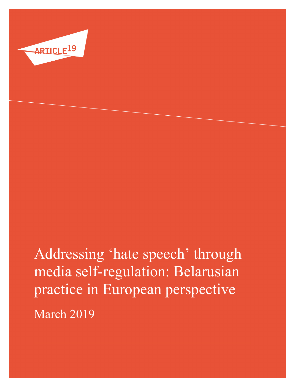

# Addressing 'hate speech' through media self-regulation: Belarusian practice in European perspective March 2019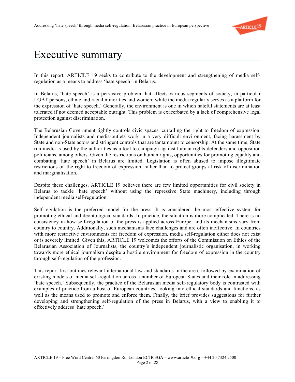

#### Executive summary

In this report, ARTICLE 19 seeks to contribute to the development and strengthening of media selfregulation as a means to address 'hate speech' in Belarus.

In Belarus, 'hate speech' is a pervasive problem that affects various segments of society, in particular LGBT persons, ethnic and racial minorities and women; while the media regularly serves as a platform for the expression of 'hate speech.' Generally, the environment is one in which hateful statements are at least tolerated if not deemed acceptable outright. This problem is exacerbated by a lack of comprehensive legal protection against discrimination.

The Belarusian Government tightly controls civic spaces, curtailing the right to freedom of expression. Independent journalists and media-outlets work in a very difficult environment, facing harassment by State and non-State actors and stringent controls that are tantamount to censorship. At the same time, State run media is used by the authorities as a tool to campaign against human rights defenders and opposition politicians, among others. Given the restrictions on human rights, opportunities for promoting equality and combating 'hate speech' in Belarus are limited. Legislation is often abused to impose illegitimate restrictions on the right to freedom of expression, rather than to protect groups at risk of discrimination and marginalisation.

Despite these challenges, ARTICLE 19 believes there are few limited opportunities for civil society in Belarus to tackle 'hate speech' without using the repressive State machinery, including through independent media self-regulation.

Self-regulation is the preferred model for the press. It is considered the most effective system for promoting ethical and deontological standards. In practice, the situation is more complicated. There is no consistency in how self-regulation of the press is applied across Europe, and its mechanisms vary from country to country. Additionally, such mechanisms face challenges and are often ineffective. In countries with more restrictive environments for freedom of expression, media self-regulation either does not exist or is severely limited. Given this, ARTICLE 19 welcomes the efforts of the Commission on Ethics of the Belarusian Association of Journalists, the country's independent journalistic organisation, in working towards more ethical journalism despite a hostile environment for freedom of expression in the country through self-regulation of the profession.

This report first outlines relevant international law and standards in the area, followed by examination of existing models of media self-regulation across a number of European States and their role in addressing 'hate speech.' Subsequently, the practice of the Belarusian media self-regulatory body is contrasted with examples of practice from a host of European countries, looking into ethical standards and functions, as well as the means used to promote and enforce them. Finally, the brief provides suggestions for further developing and strengthening self-regulation of the press in Belarus, with a view to enabling it to effectively address 'hate speech.'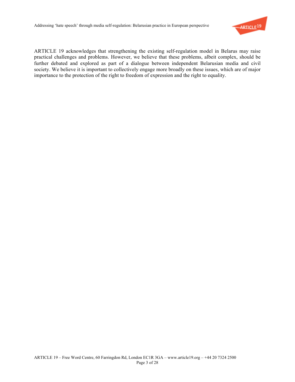

ARTICLE 19 acknowledges that strengthening the existing self-regulation model in Belarus may raise practical challenges and problems. However, we believe that these problems, albeit complex, should be further debated and explored as part of a dialogue between independent Belarusian media and civil society. We believe it is important to collectively engage more broadly on these issues, which are of major importance to the protection of the right to freedom of expression and the right to equality.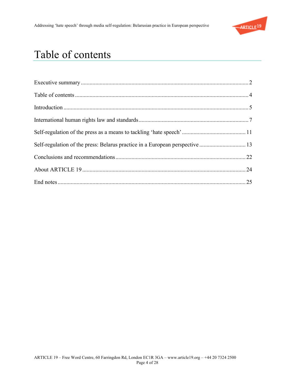

# Table of contents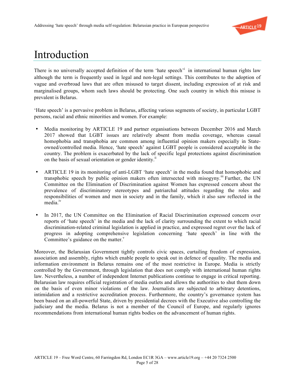

### Introduction

There is no universally accepted definition of the term 'hate speech' in international human rights law although the term is frequently used in legal and non-legal settings. This contributes to the adoption of vague and overbroad laws that are often misused to target dissent, including expression of at risk and marginalised groups, whom such laws should be protecting. One such country in which this misuse is prevalent is Belarus.

'Hate speech' is a pervasive problem in Belarus, affecting various segments of society, in particular LGBT persons, racial and ethnic minorities and women. For example:

- Media monitoring by ARTICLE 19 and partner organisations between December 2016 and March 2017 showed that LGBT issues are relatively absent from media coverage, whereas casual homophobia and transphobia are common among influential opinion makers especially in Stateowned/controlled media. Hence, 'hate speech' against LGBT people is considered acceptable in the country. The problem is exacerbated by the lack of specific legal protections against discrimination on the basis of sexual orientation or gender identity.<sup>ii</sup>
- ARTICLE 19 in its monitoring of anti-LGBT 'hate speech' in the media found that homophobic and transphobic speech by public opinion makers often intersected with misogyny.<sup>iii</sup> Further, the UN Committee on the Elimination of Discrimination against Women has expressed concern about the prevalence of discriminatory stereotypes and patriarchal attitudes regarding the roles and responsibilities of women and men in society and in the family, which it also saw reflected in the media<sup>iv</sup>
- In 2017, the UN Committee on the Elimination of Racial Discrimination expressed concern over reports of 'hate speech' in the media and the lack of clarity surrounding the extent to which racial discrimination-related criminal legislation is applied in practice, and expressed regret over the lack of progress in adopting comprehensive legislation concerning 'hate speech' in line with the Committee's guidance on the matter. $\overline{v}$

Moreover, the Belarusian Government tightly controls civic spaces, curtailing freedom of expression, association and assembly, rights which enable people to speak out in defence of equality. The media and information environment in Belarus remains one of the most restrictive in Europe. Media is strictly controlled by the Government, through legislation that does not comply with international human rights law. Nevertheless, a number of independent Internet publications continue to engage in critical reporting. Belarusian law requires official registration of media outlets and allows the authorities to shut them down on the basis of even minor violations of the law. Journalists are subjected to arbitrary detentions, intimidation and a restrictive accreditation process. Furthermore, the country's governance system has been based on an all-powerful State, driven by presidential decrees with the Executive also controlling the judiciary and the media. Belarus is not a member of the Council of Europe, and regularly ignores recommendations from international human rights bodies on the advancement of human rights.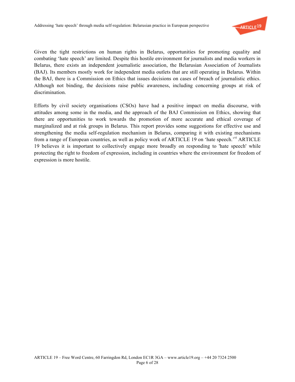

Given the tight restrictions on human rights in Belarus, opportunities for promoting equality and combating 'hate speech' are limited. Despite this hostile environment for journalists and media workers in Belarus, there exists an independent journalistic association, the Belarusian Association of Journalists (BAJ). Its members mostly work for independent media outlets that are still operating in Belarus. Within the BAJ, there is a Commission on Ethics that issues decisions on cases of breach of journalistic ethics. Although not binding, the decisions raise public awareness, including concerning groups at risk of discrimination.

Efforts by civil society organisations (CSOs) have had a positive impact on media discourse, with attitudes among some in the media, and the approach of the BAJ Commission on Ethics, showing that there are opportunities to work towards the promotion of more accurate and ethical coverage of marginalized and at risk groups in Belarus. This report provides some suggestions for effective use and strengthening the media self-regulation mechanism in Belarus, comparing it with existing mechanisms from a range of European countries, as well as policy work of ARTICLE 19 on 'hate speech.'<sup>vi</sup> ARTICLE 19 believes it is important to collectively engage more broadly on responding to 'hate speech' while protecting the right to freedom of expression, including in countries where the environment for freedom of expression is more hostile.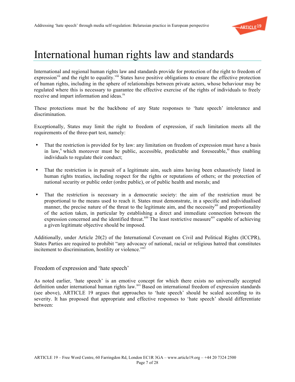

### International human rights law and standards

International and regional human rights law and standards provide for protection of the right to freedom of expression<sup>vii</sup> and the right to equality.<sup>viii</sup> States have positive obligations to ensure the effective protection of human rights, including in the sphere of relationships between private actors, whose behaviour may be regulated where this is necessary to guarantee the effective exercise of the rights of individuals to freely receive and impart information and ideas.<sup>ix</sup>

These protections must be the backbone of any State responses to 'hate speech' intolerance and discrimination.

Exceptionally, States may limit the right to freedom of expression, if such limitation meets all the requirements of the three-part test, namely:

- That the restriction is provided for by law: any limitation on freedom of expression must have a basis in law,<sup>x</sup> which moreover must be public, accessible, predictable and foreseeable,<sup>xi</sup> thus enabling individuals to regulate their conduct;
- That the restriction is in pursuit of a legitimate aim, such aims having been exhaustively listed in human rights treaties, including respect for the rights or reputations of others; or the protection of national security or public order (ordre public), or of public health and morals; and
- That the restriction is necessary in a democratic society: the aim of the restriction must be proportional to the means used to reach it. States must demonstrate, in a specific and individualised manner, the precise nature of the threat to the legitimate aim, and the necessity<sup>xii</sup> and proportionality of the action taken, in particular by establishing a direct and immediate connection between the expression concerned and the identified threat.<sup>xiii</sup> The least restrictive measure<sup>xiv</sup> capable of achieving a given legitimate objective should be imposed.

Additionally, under Article 20(2) of the International Covenant on Civil and Political Rights (ICCPR), States Parties are required to prohibit "any advocacy of national, racial or religious hatred that constitutes incitement to discrimination, hostility or violence."<sup>xv</sup>

Freedom of expression and 'hate speech'

As noted earlier, 'hate speech' is an emotive concept for which there exists no universally accepted definition under international human rights law.<sup>xvi</sup> Based on international freedom of expression standards (see above), ARTICLE 19 argues that approaches to 'hate speech' should be scaled according to its severity. It has proposed that appropriate and effective responses to 'hate speech' should differentiate between: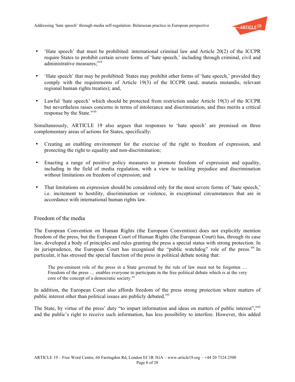

- 'Hate speech' that must be prohibited: international criminal law and Article 20(2) of the ICCPR require States to prohibit certain severe forms of 'hate speech,' including through criminal, civil and administrative measures;<sup>xvii</sup>
- 'Hate speech' that may be prohibited: States may prohibit other forms of 'hate speech,' provided they comply with the requirements of Article 19(3) of the ICCPR (and, mutatis mutandis, relevant regional human rights treaties); and,
- Lawful 'hate speech' which should be protected from restriction under Article 19(3) of the ICCPR but nevertheless raises concerns in terms of intolerance and discrimination, and thus merits a critical response by the State.<sup>xviii</sup>

Simultaneously, ARTICLE 19 also argues that responses to 'hate speech' are premised on three complementary areas of actions for States, specifically:

- Creating an enabling environment for the exercise of the right to freedom of expression, and protecting the right to equality and non-discrimination;
- Enacting a range of positive policy measures to promote freedom of expression and equality, including in the field of media regulation, with a view to tackling prejudice and discrimination without limitations on freedom of expression; and
- That limitations on expression should be considered only for the most severe forms of 'hate speech,' i.e. incitement to hostility, discrimination or violence, in exceptional circumstances that are in accordance with international human rights law.

#### Freedom of the media

The European Convention on Human Rights (the European Convention) does not explicitly mention freedom of the press, but the European Court of Human Rights (the European Court) has, through its case law, developed a body of principles and rules granting the press a special status with strong protection. In its jurisprudence, the European Court has recognised the "public watchdog" role of the press. Xix In particular, it has stressed the special function of the press in political debate noting that:

The pre-eminent role of the press in a State governed by the rule of law must not be forgotten ... Freedom of the press … enables everyone to participate in the free political debate which is at the very core of the concept of a democratic society.<sup>xx</sup>

In addition, the European Court also affords freedom of the press strong protection where matters of public interest other than political issues are publicly debated.<sup>xxi</sup>

The State, by virtue of the press' duty "to impart information and ideas on matters of public interest",<sup>xxii</sup> and the public's right to receive such information, has less possibility to interfere. However, this added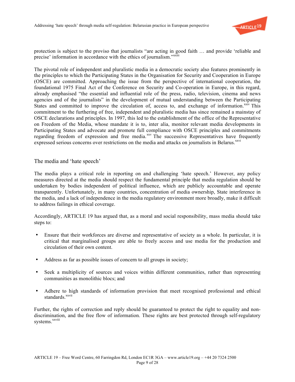

protection is subject to the proviso that journalists "are acting in good faith … and provide 'reliable and precise' information in accordance with the ethics of journalism."<sup>xxiii</sup>

The pivotal role of independent and pluralistic media in a democratic society also features prominently in the principles to which the Participating States in the Organisation for Security and Cooperation in Europe (OSCE) are committed. Approaching the issue from the perspective of international cooperation, the foundational 1975 Final Act of the Conference on Security and Co-operation in Europe, in this regard, already emphasised "the essential and influential role of the press, radio, television, cinema and news agencies and of the journalists" in the development of mutual understanding between the Participating States and committed to improve the circulation of, access to, and exchange of information.<sup>xxiv</sup> This commitment to the furthering of free, independent and pluralistic media has since remained a mainstay of OSCE declarations and principles. In 1997, this led to the establishment of the office of the Representative on Freedom of the Media, whose mandate it is to, inter alia, monitor relevant media developments in Participating States and advocate and promote full compliance with OSCE principles and commitments regarding freedom of expression and free media.<sup>xxv</sup> The successive Representatives have frequently expressed serious concerns over restrictions on the media and attacks on journalists in Belarus.<sup>xxvi</sup>

The media and 'hate speech'

The media plays a critical role in reporting on and challenging 'hate speech.' However, any policy measures directed at the media should respect the fundamental principle that media regulation should be undertaken by bodies independent of political influence, which are publicly accountable and operate transparently. Unfortunately, in many countries, concentration of media ownership, State interference in the media, and a lack of independence in the media regulatory environment more broadly, make it difficult to address failings in ethical coverage.

Accordingly, ARTICLE 19 has argued that, as a moral and social responsibility, mass media should take steps to:

- Ensure that their workforces are diverse and representative of society as a whole. In particular, it is critical that marginalised groups are able to freely access and use media for the production and circulation of their own content.
- Address as far as possible issues of concern to all groups in society;
- Seek a multiplicity of sources and voices within different communities, rather than representing communities as monolithic blocs; and
- Adhere to high standards of information provision that meet recognised professional and ethical standards<sup>xxvii</sup>

Further, the rights of correction and reply should be guaranteed to protect the right to equality and nondiscrimination, and the free flow of information. These rights are best protected through self-regulatory systems.<sup>xxviii</sup>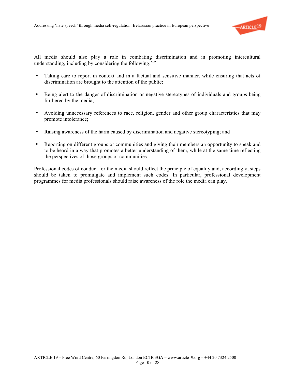

All media should also play a role in combating discrimination and in promoting intercultural understanding, including by considering the following:<sup>xxix</sup>

- Taking care to report in context and in a factual and sensitive manner, while ensuring that acts of discrimination are brought to the attention of the public;
- Being alert to the danger of discrimination or negative stereotypes of individuals and groups being furthered by the media;
- Avoiding unnecessary references to race, religion, gender and other group characteristics that may promote intolerance;
- Raising awareness of the harm caused by discrimination and negative stereotyping; and
- Reporting on different groups or communities and giving their members an opportunity to speak and to be heard in a way that promotes a better understanding of them, while at the same time reflecting the perspectives of those groups or communities.

Professional codes of conduct for the media should reflect the principle of equality and, accordingly, steps should be taken to promulgate and implement such codes. In particular, professional development programmes for media professionals should raise awareness of the role the media can play.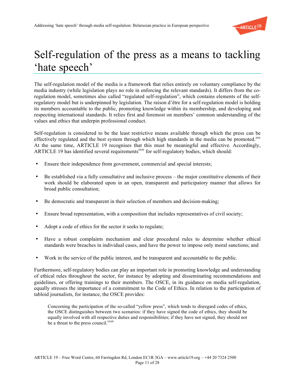

## Self-regulation of the press as a means to tackling 'hate speech'

The self-regulation model of the media is a framework that relies entirely on voluntary compliance by the media industry (while legislation plays no role in enforcing the relevant standards). It differs from the coregulation model, sometimes also called "regulated self-regulation", which contains elements of the selfregulatory model but is underpinned by legislation. The raison d'être for a self-regulation model is holding its members accountable to the public, promoting knowledge within its membership, and developing and respecting international standards. It relies first and foremost on members' common understanding of the values and ethics that underpin professional conduct.

Self-regulation is considered to be the least restrictive means available through which the press can be effectively regulated and the best system through which high standards in the media can be promoted.<sup>xxx</sup> At the same time, ARTICLE 19 recognises that this must be meaningful and effective. Accordingly, ARTICLE 19 has identified several requirements<sup>xxxi</sup> for self-regulatory bodies, which should:

- Ensure their independence from government, commercial and special interests;
- Be established via a fully consultative and inclusive process the major constitutive elements of their work should be elaborated upon in an open, transparent and participatory manner that allows for broad public consultation;
- Be democratic and transparent in their selection of members and decision-making;
- Ensure broad representation, with a composition that includes representatives of civil society;
- Adopt a code of ethics for the sector it seeks to regulate;
- Have a robust complaints mechanism and clear procedural rules to determine whether ethical standards were breaches in individual cases, and have the power to impose only moral sanctions; and
- Work in the service of the public interest, and be transparent and accountable to the public.

Furthermore, self-regulatory bodies can play an important role in promoting knowledge and understanding of ethical rules throughout the sector, for instance by adopting and disseminating recommendations and guidelines, or offering trainings to their members. The OSCE, in its guidance on media self-regulation, equally stresses the importance of a commitment to the Code of Ethics. In relation to the participation of tabloid journalists, for instance, the OSCE provides:

Concerning the participation of the so-called "yellow press", which tends to disregard codes of ethics, the OSCE distinguishes between two scenarios: if they have signed the code of ethics, they should be equally involved with all respective duties and responsibilities; if they have not signed, they should not be a threat to the press council.<sup>xxxii</sup>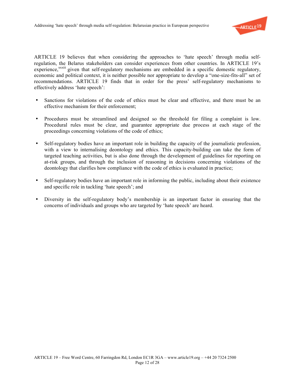

ARTICLE 19 believes that when considering the approaches to 'hate speech' through media selfregulation, the Belarus stakeholders can consider experiences from other countries. In ARTICLE 19's experience,<sup>xxxiii</sup> given that self-regulatory mechanisms are embedded in a specific domestic regulatory, economic and political context, it is neither possible nor appropriate to develop a "one-size-fits-all" set of recommendations. ARTICLE 19 finds that in order for the press' self-regulatory mechanisms to effectively address 'hate speech':

- Sanctions for violations of the code of ethics must be clear and effective, and there must be an effective mechanism for their enforcement;
- Procedures must be streamlined and designed so the threshold for filing a complaint is low. Procedural rules must be clear, and guarantee appropriate due process at each stage of the proceedings concerning violations of the code of ethics;
- Self-regulatory bodies have an important role in building the capacity of the journalistic profession, with a view to internalising deontology and ethics. This capacity-building can take the form of targeted teaching activities, but is also done through the development of guidelines for reporting on at-risk groups, and through the inclusion of reasoning in decisions concerning violations of the deontology that clarifies how compliance with the code of ethics is evaluated in practice;
- Self-regulatory bodies have an important role in informing the public, including about their existence and specific role in tackling 'hate speech'; and
- Diversity in the self-regulatory body's membership is an important factor in ensuring that the concerns of individuals and groups who are targeted by 'hate speech' are heard.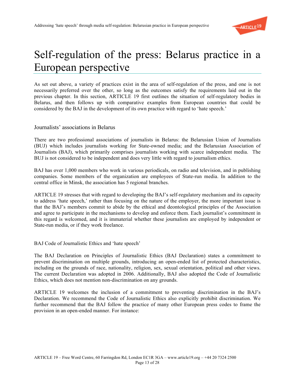

## Self-regulation of the press: Belarus practice in a European perspective

As set out above, a variety of practices exist in the area of self-regulation of the press, and one is not necessarily preferred over the other, so long as the outcomes satisfy the requirements laid out in the previous chapter. In this section, ARTICLE 19 first outlines the situation of self-regulatory bodies in Belarus, and then follows up with comparative examples from European countries that could be considered by the BAJ in the development of its own practice with regard to 'hate speech.'

Journalists' associations in Belarus

There are two professional associations of journalists in Belarus: the Belarusian Union of Journalists (BUJ) which includes journalists working for State-owned media; and the Belarusian Association of Journalists (BAJ), which primarily comprises journalists working with scarce independent media. The BUJ is not considered to be independent and does very little with regard to journalism ethics.

BAJ has over 1,000 members who work in various periodicals, on radio and television, and in publishing companies. Some members of the organization are employees of State-run media. In addition to the central office in Minsk, the association has 5 regional branches.

ARTICLE 19 stresses that with regard to developing the BAJ's self-regulatory mechanism and its capacity to address 'hate speech,' rather than focusing on the nature of the employer, the more important issue is that the BAJ's members commit to abide by the ethical and deontological principles of the Association and agree to participate in the mechanisms to develop and enforce them. Each journalist's commitment in this regard is welcomed, and it is immaterial whether these journalists are employed by independent or State-run media, or if they work freelance.

BAJ Code of Journalistic Ethics and 'hate speech'

The BAJ Declaration on Principles of Journalistic Ethics (BAJ Declaration) states a commitment to prevent discrimination on multiple grounds, introducing an open-ended list of protected characteristics, including on the grounds of race, nationality, religion, sex, sexual orientation, political and other views. The current Declaration was adopted in 2006. Additionally, BAJ also adopted the Code of Journalistic Ethics, which does not mention non-discrimination on any grounds.

ARTICLE 19 welcomes the inclusion of a commitment to preventing discrimination in the BAJ's Declaration. We recommend the Code of Journalistic Ethics also explicitly prohibit discrimination. We further recommend that the BAJ follow the practice of many other European press codes to frame the provision in an open-ended manner. For instance: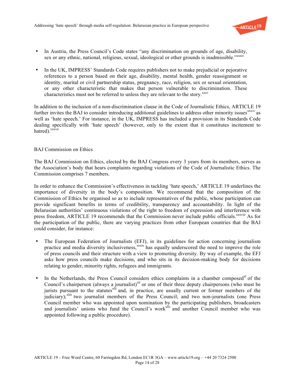

- In Austria, the Press Council's Code states "any discrimination on grounds of age, disability, sex or any ethnic, national, religious, sexual, ideological or other grounds is inadmissible."<sup>xxxiv</sup>
- In the UK, IMPRESS' Standards Code requires publishers not to make prejudicial or pejorative references to a person based on their age, disability, mental health, gender reassignment or identity, marital or civil partnership status, pregnancy, race, religion, sex or sexual orientation, or any other characteristic that makes that person vulnerable to discrimination. These characteristics must not be referred to unless they are relevant to the story. $\frac{xxxx}{}$

In addition to the inclusion of a non-discrimination clause in the Code of Journalistic Ethics, ARTICLE 19 further invites the BAJ to consider introducing additional guidelines to address other minority issues<sup>xxxvi</sup> as well as 'hate speech.' For instance, in the UK, IMPRESS has included a provision in its Standards Code dealing specifically with 'hate speech' (however, only to the extent that it constitutes incitement to hatred).<sup>xxxvii</sup>

#### BAJ Commission on Ethics

The BAJ Commission on Ethics, elected by the BAJ Congress every 3 years from its members, serves as the Association's body that hears complaints regarding violations of the Code of Journalistic Ethics. The Commission comprises 7 members.

In order to enhance the Commission's effectiveness in tackling 'hate speech,' ARTICLE 19 underlines the importance of diversity in the body's composition. We recommend that the composition of the Commission of Ethics be organised so as to include representatives of the public, whose participation can provide significant benefits in terms of credibility, transparency and accountability. In light of the Belarusian authorities' continuous violations of the right to freedom of expression and interference with press freedom, ARTICLE 19 recommends that the Commission never include public officials.<sup>xxxviii</sup> As for the participation of the public, there are varying practices from other European countries that the BAJ could consider, for instance:

- The European Federation of Journalists (EFJ), in its guidelines for action concerning journalism practice and media diversity inclusiveness,<sup>xxxix</sup> has equally underscored the need to improve the role of press councils and their structure with a view to promoting diversity. By way of example, the EFJ asks how press councils make decisions, and who sits in its decision-making body for decisions relating to gender, minority rights, refugees and immigrants.
- In the Netherlands, the Press Council considers ethics complaints in a chamber composed<sup>xl</sup> of the Council's chairperson (always a journalist)<sup>xli</sup> or one of their three deputy chairpersons (who must be jurists pursuant to the statutes<sup>xlii</sup> and, in practice, are usually current or former members of the judiciary);<sup>xliii</sup> two journalist members of the Press Council; and two non-journalists (one Press Council member who was appointed upon nomination by the participating publishers, broadcasters and journalists' unions who fund the Council's work<sup>xliv</sup> and another Council member who was appointed following a public procedure).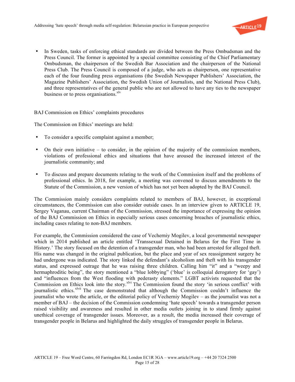

• In Sweden, tasks of enforcing ethical standards are divided between the Press Ombudsman and the Press Council. The former is appointed by a special committee consisting of the Chief Parliamentary Ombudsman, the chairperson of the Swedish Bar Association and the chairperson of the National Press Club. The Press Council is composed of a judge, who acts as chairperson, one representative each of the four founding press organisations (the Swedish Newspaper Publishers' Association, the Magazine Publishers' Association, the Swedish Union of Journalists, and the National Press Club), and three representatives of the general public who are not allowed to have any ties to the newspaper business or to press organisations. $x^{1/v}$ 

#### BAJ Commission on Ethics' complaints procedures

The Commission on Ethics' meetings are held:

- To consider a specific complaint against a member;
- On their own initiative to consider, in the opinion of the majority of the commission members, violations of professional ethics and situations that have aroused the increased interest of the journalistic community; and
- To discuss and prepare documents relating to the work of the Commission itself and the problems of professional ethics. In 2018, for example, a meeting was convened to discuss amendments to the Statute of the Commission, a new version of which has not yet been adopted by the BAJ Council.

The Commission mainly considers complaints related to members of BAJ, however, in exceptional circumstances, the Commission can also consider outside cases. In an interview given to ARTICLE 19, Sergey Vaganau, current Chairman of the Commission, stressed the importance of expressing the opinion of the BAJ Commission on Ethics in especially serious cases concerning breaches of journalistic ethics, including cases relating to non-BAJ members.

For example, the Commission considered the case of Vecherniy Mogilev, a local governmental newspaper which in 2014 published an article entitled 'Transsexual Detained in Belarus for the First Time in History.' The story focused on the detention of a transgender man, who had been arrested for alleged theft. His name was changed in the original publication, but the place and year of sex reassignment surgery he had undergone was indicated. The story linked the defendant's alcoholism and theft with his transgender status, and expressed outrage that he was raising three children. Calling him "it" and a "weepy and hermaphroditic being", the story mentioned a "blue lobbying" ('blue' is colloquial derogatory for 'gay') and "influences from the West flooding with pederasty elements." LGBT activists requested that the Commission on Ethics look into the story.<sup>xlvi</sup> The Commission found the story 'in serious conflict' with journalistic ethics. xlvii The case demonstrated that although the Commission couldn't influence the journalist who wrote the article, or the editorial policy of Vecherniy Mogilev – as the journalist was not a member of BAJ – the decision of the Commission condemning 'hate speech' towards a transgender person raised visibility and awareness and resulted in other media outlets joining in to stand firmly against unethical coverage of transgender issues. Moreover, as a result, the media increased their coverage of transgender people in Belarus and highlighted the daily struggles of transgender people in Belarus.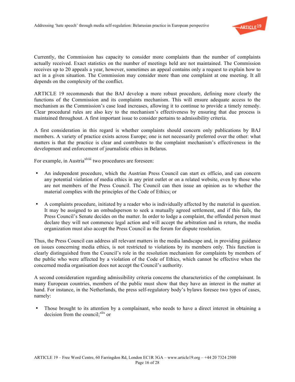

Currently, the Commission has capacity to consider more complaints than the number of complaints actually received. Exact statistics on the number of meetings held are not maintained. The Commission receives up to 20 appeals a year, however, sometimes an appeal contains only a request to explain how to act in a given situation. The Commission may consider more than one complaint at one meeting. It all depends on the complexity of the conflict.

ARTICLE 19 recommends that the BAJ develop a more robust procedure, defining more clearly the functions of the Commission and its complaints mechanism. This will ensure adequate access to the mechanism as the Commission's case load increases, allowing it to continue to provide a timely remedy. Clear procedural rules are also key to the mechanism's effectiveness by ensuring that due process is maintained throughout. A first important issue to consider pertains to admissibility criteria.

A first consideration in this regard is whether complaints should concern only publications by BAJ members. A variety of practice exists across Europe; one is not necessarily preferred over the other: what matters is that the practice is clear and contributes to the complaint mechanism's effectiveness in the development and enforcement of journalistic ethics in Belarus.

For example, in Austria<sup>xlyiii</sup> two procedures are foreseen:

- An independent procedure, which the Austrian Press Council can start ex officio, and can concern any potential violation of media ethics in any print outlet or on a related website, even by those who are not members of the Press Council. The Council can then issue an opinion as to whether the material complies with the principles of the Code of Ethics; or
- A complaints procedure, initiated by a reader who is individually affected by the material in question. It may be assigned to an ombudsperson to seek a mutually agreed settlement, and if this fails, the Press Council's Senate decides on the matter. In order to lodge a complaint, the offended person must declare they will not commence legal action and will accept the arbitration and in return, the media organization must also accept the Press Council as the forum for dispute resolution.

Thus, the Press Council can address all relevant matters in the media landscape and, in providing guidance on issues concerning media ethics, is not restricted to violations by its members only. This function is clearly distinguished from the Council's role in the resolution mechanism for complaints by members of the public who were affected by a violation of the Code of Ethics, which cannot be effective when the concerned media organisation does not accept the Council's authority.

A second consideration regarding admissibility criteria concerns the characteristics of the complainant. In many European countries, members of the public must show that they have an interest in the matter at hand. For instance, in the Netherlands, the press self-regulatory body's bylaws foresee two types of cases, namely:

• Those brought to its attention by a complainant, who needs to have a direct interest in obtaining a decision from the council;<sup>xlix</sup> or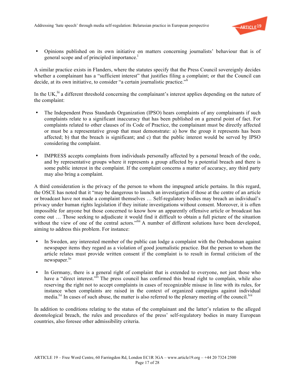

• Opinions published on its own initiative on matters concerning journalists' behaviour that is of general scope and of principled importance.<sup>1</sup>

A similar practice exists in Flanders, where the statutes specify that the Press Council sovereignly decides whether a complainant has a "sufficient interest" that justifies filing a complaint; or that the Council can decide, at its own initiative, to consider "a certain journalistic practice."<sup>li</sup>

In the UK,  $\mathrm{li}$  a different threshold concerning the complainant's interest applies depending on the nature of the complaint:

- The Independent Press Standards Organization (IPSO) hears complaints of any complainants if such complaints relate to a significant inaccuracy that has been published on a general point of fact. For complaints related to other clauses of its Code of Practice, the complainant must be directly affected or must be a representative group that must demonstrate: a) how the group it represents has been affected; b) that the breach is significant; and c) that the public interest would be served by IPSO considering the complaint.
- IMPRESS accepts complaints from individuals personally affected by a personal breach of the code, and by representative groups where it represents a group affected by a potential breach and there is some public interest in the complaint. If the complaint concerns a matter of accuracy, any third party may also bring a complaint.

A third consideration is the privacy of the person to whom the impugned article pertains. In this regard, the OSCE has noted that it "may be dangerous to launch an investigation if those at the centre of an article or broadcast have not made a complaint themselves … Self-regulatory bodies may breach an individual's privacy under human rights legislation if they initiate investigations without consent. Moreover, it is often impossible for anyone but those concerned to know how an apparently offensive article or broadcast has come out … Those seeking to adjudicate it would find it difficult to obtain a full picture of the situation without the view of one of the central actors.<sup>"liii</sup> A number of different solutions have been developed, aiming to address this problem. For instance:

- In Sweden, any interested member of the public can lodge a complaint with the Ombudsman against newspaper items they regard as a violation of good journalistic practice. But the person to whom the article relates must provide written consent if the complaint is to result in formal criticism of the newspaper.<sup>liv</sup>
- In Germany, there is a general right of complaint that is extended to everyone, not just those who have a "direct interest."<sup>Iv</sup> The press council has confirmed this broad right to complain, while also reserving the right not to accept complaints in cases of recognizable misuse in line with its rules, for instance when complaints are raised in the context of organized campaigns against individual media.<sup>lvi</sup> In cases of such abuse, the matter is also referred to the plenary meeting of the council.<sup>lvii</sup>

In addition to conditions relating to the status of the complainant and the latter's relation to the alleged deontological breach, the rules and procedures of the press' self-regulatory bodies in many European countries, also foresee other admissibility criteria.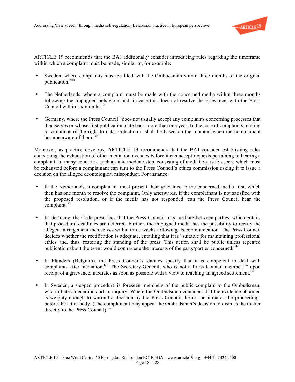

ARTICLE 19 recommends that the BAJ additionally consider introducing rules regarding the timeframe within which a complaint must be made, similar to, for example:

- Sweden, where complaints must be filed with the Ombudsman within three months of the original publication.<sup>lviii</sup>
- The Netherlands, where a complaint must be made with the concerned media within three months following the impugned behaviour and, in case this does not resolve the grievance, with the Press Council within six months. $\frac{fix}{}$
- Germany, where the Press Council "does not usually accept any complaints concerning processes that themselves or whose first publication date back more than one year. In the case of complaints relating to violations of the right to data protection it shall be based on the moment when the complainant became aware of them."<sup>1x</sup>

Moreover, as practice develops, ARTICLE 19 recommends that the BAJ consider establishing rules concerning the exhaustion of other mediation avenues before it can accept requests pertaining to hearing a complaint. In many countries, such an intermediate step, consisting of mediation, is foreseen, which must be exhausted before a complainant can turn to the Press Council's ethics commission asking it to issue a decision on the alleged deontological misconduct. For instance:

- In the Netherlands, a complainant must present their grievance to the concerned media first, which then has one month to resolve the complaint. Only afterwards, if the complainant is not satisfied with the proposed resolution, or if the media has not responded, can the Press Council hear the  $complain!$ <sup>lxi</sup>
- In Germany, the Code prescribes that the Press Council may mediate between parties, which entails that procedural deadlines are deferred. Further, the impugned media has the possibility to rectify the alleged infringement themselves within three weeks following its communication. The Press Council decides whether the rectification is adequate, entailing that it is "suitable for maintaining professional ethics and, thus, restoring the standing of the press. This action shall be public unless repeated publication about the event would contravene the interests of the party/parties concerned."<sup>Ixii</sup>
- In Flanders (Belgium), the Press Council's statutes specify that it is competent to deal with complaints after mediation.<sup>Ixiii</sup> The Secretary-General, who is not a Press Council member, <sup>kiv</sup> upon receipt of a grievance, mediates as soon as possible with a view to reaching an agreed settlement.  $\frac{dx}{dx}$
- In Sweden, a stepped procedure is foreseen: members of the public complain to the Ombudsman, who initiates mediation and an inquiry. Where the Ombudsman considers that the evidence obtained is weighty enough to warrant a decision by the Press Council, he or she initiates the proceedings before the latter body. (The complainant may appeal the Ombudsman's decision to dismiss the matter directly to the Press Council).<sup>lxvi</sup>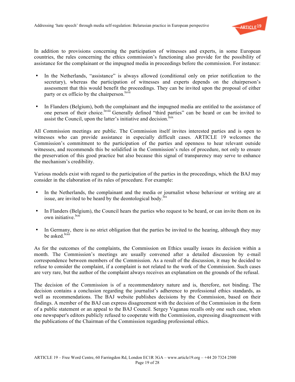

In addition to provisions concerning the participation of witnesses and experts, in some European countries, the rules concerning the ethics commission's functioning also provide for the possibility of assistance for the complainant or the impugned media in proceedings before the commission. For instance:

- In the Netherlands, "assistance" is always allowed (conditional only on prior notification to the secretary), whereas the participation of witnesses and experts depends on the chairperson's assessment that this would benefit the proceedings. They can be invited upon the proposal of either party or ex officio by the chairperson.<sup>lxvii</sup>
- In Flanders (Belgium), both the complainant and the impugned media are entitled to the assistance of one person of their choice.<sup>Ixviii</sup> Generally defined "third parties" can be heard or can be invited to assist the Council, upon the latter's initiative and decision. $\frac{1}{1}$

All Commission meetings are public. The Commission itself invites interested parties and is open to witnesses who can provide assistance in especially difficult cases. ARTICLE 19 welcomes the Commission's commitment to the participation of the parties and openness to hear relevant outside witnesses, and recommends this be solidified in the Commission's rules of procedure, not only to ensure the preservation of this good practice but also because this signal of transparency may serve to enhance the mechanism's credibility.

Various models exist with regard to the participation of the parties in the proceedings, which the BAJ may consider in the elaboration of its rules of procedure. For example:

- In the Netherlands, the complainant and the media or journalist whose behaviour or writing are at issue, are invited to be heard by the deontological body.<sup>lxx</sup>
- In Flanders (Belgium), the Council hears the parties who request to be heard, or can invite them on its own initiative lxxi
- In Germany, there is no strict obligation that the parties be invited to the hearing, although they may be asked.<sup>lxxii</sup>

As for the outcomes of the complaints, the Commission on Ethics usually issues its decision within a month. The Commission's meetings are usually convened after a detailed discussion by e-mail correspondence between members of the Commission. As a result of the discussion, it may be decided to refuse to consider the complaint, if a complaint is not related to the work of the Commission. Such cases are very rare, but the author of the complaint always receives an explanation on the grounds of the refusal.

The decision of the Commission is of a recommendatory nature and is, therefore, not binding. The decision contains a conclusion regarding the journalist's adherence to professional ethics standards, as well as recommendations. The BAJ website publishes decisions by the Commission, based on their findings. A member of the BAJ can express disagreement with the decision of the Commission in the form of a public statement or an appeal to the BAJ Council. Sergey Vaganau recalls only one such case, when one newspaper's editors publicly refused to cooperate with the Commission, expressing disagreement with the publications of the Chairman of the Commission regarding professional ethics.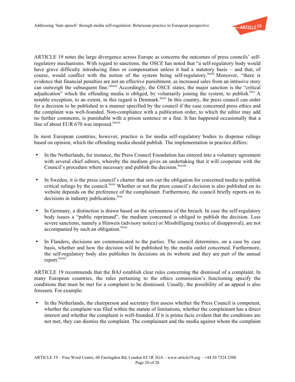

ARTICLE 19 notes the large divergence across Europe as concerns the outcomes of press councils' selfregulatory mechanisms. With regard to sanctions, the OSCE has noted that "a self-regulatory body would have grave difficulty introducing fines or compensation unless it had a statutory basis – and that, of course, would conflict with the notion of the system being self-regulatory.<sup>lxxiii</sup> Moreover, "there is evidence that financial penalties are not an effective punishment, as increased sales from an intrusive story can outweigh the subsequent fine."<sup>Ixxiv</sup> Accordingly, the OSCE states, the major sanction is the "critical" adjudication" which the offending media is obliged, by voluntarily joining the system, to publish.<sup>lxxv</sup> A notable exception, to an extent, in this regard is Denmark.<sup>lxxvi</sup> In this country, the press council can order for a decision to be published in a manner specified by the council if the case concerned press ethics and the complaint was well-founded. Non-compliance with a publication order, to which the editor may add no further comments, is punishable with a prison sentence or a fine. It has happened occasionally that a fine of about EUR 670 was imposed.<sup>lxxvii</sup>

In most European countries, however, practice is for media self-regulatory bodies to dispense rulings based on opinion, which the offending media should publish. The implementation in practice differs:

- In the Netherlands, for instance, the Press Council Foundation has entered into a voluntary agreement with several chief editors, whereby the medium gives an undertaking that it will cooperate with the Council's procedure where necessary and publish the decision.<sup>lxxviii</sup>
- In Sweden, it is the press council's charter that sets out the obligation for concerned media to publish critical rulings by the council.<sup>lxxix</sup> Whether or not the press council's decision is also published on its website depends on the preference of the complainant. Furthermore, the council briefly reports on its decisions in industry publications.<sup>lxxx</sup>
- In Germany, a distinction is drawn based on the seriousness of the breach. In case the self-regulatory body issues a "public reprimand", the medium concerned is obliged to publish the decision. Less severe sanctions, namely a Hinweis (advisory notice) or Missbilligung (notice of disapproval), are not accompanied by such an obligation.<sup>lxxxi</sup>
- In Flanders, decisions are communicated to the parties. The council determines, on a case by case basis, whether and how the decision will be published by the media outlet concerned. Furthermore, the self-regulatory body also publishes its decisions on its website and they are part of the annual report.<sup>lxxxii</sup>

ARTICLE 19 recommends that the BAJ establish clear rules concerning the dismissal of a complaint. In many European countries, the rules pertaining to the ethics commission's functioning specify the conditions that must be met for a complaint to be dismissed. Usually, the possibility of an appeal is also foreseen. For example:

• In the Netherlands, the chairperson and secretary first assess whether the Press Council is competent, whether the complaint was filed within the statute of limitations, whether the complainant has a direct interest and whether the complaint is well-founded. If it is prima facie evident that the conditions are not met, they can dismiss the complaint. The complainant and the media against whom the complaint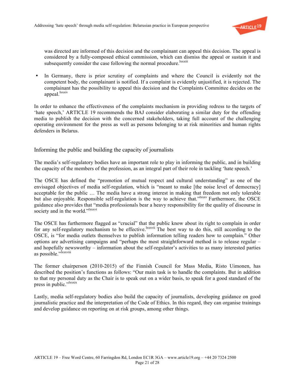

was directed are informed of this decision and the complainant can appeal this decision. The appeal is considered by a fully-composed ethical commission, which can dismiss the appeal or sustain it and subsequently consider the case following the normal procedure.<sup>lxxxiii</sup>

• In Germany, there is prior scrutiny of complaints and where the Council is evidently not the competent body, the complainant is notified. If a complaint is evidently unjustified, it is rejected. The complainant has the possibility to appeal this decision and the Complaints Committee decides on the appeal.<sup>lxxxiv</sup>

In order to enhance the effectiveness of the complaints mechanism in providing redress to the targets of 'hate speech,' ARTICLE 19 recommends the BAJ consider elaborating a similar duty for the offending media to publish the decision with the concerned stakeholders, taking full account of the challenging operating environment for the press as well as persons belonging to at risk minorities and human rights defenders in Belarus.

#### Informing the public and building the capacity of journalists

The media's self-regulatory bodies have an important role to play in informing the public, and in building the capacity of the members of the profession, as an integral part of their role in tackling 'hate speech.'

The OSCE has defined the "promotion of mutual respect and cultural understanding" as one of the envisaged objectives of media self-regulation, which is "meant to make [the noise level of democracy] acceptable for the public … The media have a strong interest in making that freedom not only tolerable but also enjoyable. Responsible self-regulation is the way to achieve that."<sup>Ixxxv</sup> Furthermore, the OSCE guidance also provides that "media professionals bear a heavy responsibility for the quality of discourse in society and in the world."<sup>1xxxvi</sup>

The OSCE has furthermore flagged as "crucial" that the public know about its right to complain in order for any self-regulatory mechanism to be effective.<sup>[xxxvii</sup>] The best way to do this, still according to the OSCE, is "for media outlets themselves to publish information telling readers how to complain." Other options are advertising campaigns and "perhaps the most straightforward method is to release regular – and hopefully newsworthy – information about the self-regulator's activities to as many interested parties as possible."<sup>Ixxxviii</sup>

The former chairperson (2010-2015) of the Finnish Council for Mass Media, Risto Uimonen, has described the position's functions as follows: "Our main task is to handle the complaints. But in addition to that my personal duty as the Chair is to speak out on a wider basis, to speak for a good standard of the press in public."<sup>Ixxxix</sup>

Lastly, media self-regulatory bodies also build the capacity of journalists, developing guidance on good journalistic practice and the interpretation of the Code of Ethics. In this regard, they can organise trainings and develop guidance on reporting on at risk groups, among other things.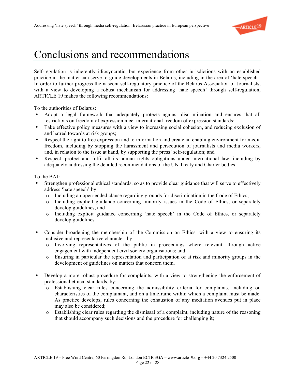

### Conclusions and recommendations

Self-regulation is inherently idiosyncratic, but experience from other jurisdictions with an established practice in the matter can serve to guide developments in Belarus, including in the area of 'hate speech.' In order to further progress the nascent self-regulatory practice of the Belarus Association of Journalists, with a view to developing a robust mechanism for addressing 'hate speech' through self-regulation, ARTICLE 19 makes the following recommendations:

To the authorities of Belarus:

- Adopt a legal framework that adequately protects against discrimination and ensures that all restrictions on freedom of expression meet international freedom of expression standards;
- Take effective policy measures with a view to increasing social cohesion, and reducing exclusion of and hatred towards at risk groups;
- Respect the right to free expression and to information and create an enabling environment for media freedom, including by stopping the harassment and persecution of journalists and media workers, and, in relation to the issue at hand, by supporting the press' self-regulation; and
- Respect, protect and fulfil all its human rights obligations under international law, including by adequately addressing the detailed recommendations of the UN Treaty and Charter bodies.

To the BAJ:

- Strengthen professional ethical standards, so as to provide clear guidance that will serve to effectively address 'hate speech' by:
	- $\circ$  Including an open-ended clause regarding grounds for discrimination in the Code of Ethics;
	- o Including explicit guidance concerning minority issues in the Code of Ethics, or separately develop guidelines; and
	- o Including explicit guidance concerning 'hate speech' in the Code of Ethics, or separately develop guidelines.
- Consider broadening the membership of the Commission on Ethics, with a view to ensuring its inclusive and representative character, by:
	- o Involving representatives of the public in proceedings where relevant, through active engagement with independent civil society organisations; and
	- o Ensuring in particular the representation and participation of at risk and minority groups in the development of guidelines on matters that concern them.
- Develop a more robust procedure for complaints, with a view to strengthening the enforcement of professional ethical standards, by:
	- o Establishing clear rules concerning the admissibility criteria for complaints, including on characteristics of the complainant, and on a timeframe within which a complaint must be made. As practice develops, rules concerning the exhaustion of any mediation avenues put in place may also be considered;
	- o Establishing clear rules regarding the dismissal of a complaint, including nature of the reasoning that should accompany such decisions and the procedure for challenging it;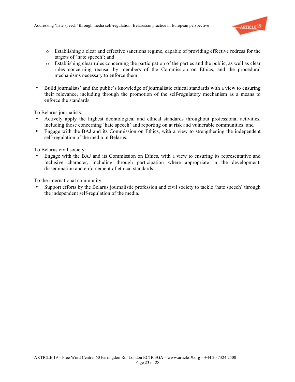

- o Establishing a clear and effective sanctions regime, capable of providing effective redress for the targets of 'hate speech'; and
- o Establishing clear rules concerning the participation of the parties and the public, as well as clear rules concerning recusal by members of the Commission on Ethics, and the procedural mechanisms necessary to enforce them.
- Build journalists' and the public's knowledge of journalistic ethical standards with a view to ensuring their relevance, including through the promotion of the self-regulatory mechanism as a means to enforce the standards.

To Belarus journalists:

- Actively apply the highest deontological and ethical standards throughout professional activities, including those concerning 'hate speech' and reporting on at risk and vulnerable communities; and
- Engage with the BAJ and its Commission on Ethics, with a view to strengthening the independent self-regulation of the media in Belarus.

To Belarus civil society:

• Engage with the BAJ and its Commission on Ethics, with a view to ensuring its representative and inclusive character, including through participation where appropriate in the development, dissemination and enforcement of ethical standards.

To the international community:

• Support efforts by the Belarus journalistic profession and civil society to tackle 'hate speech' through the independent self-regulation of the media.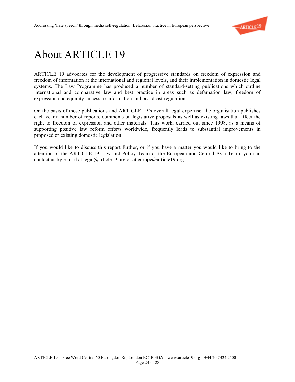

## About ARTICLE 19

ARTICLE 19 advocates for the development of progressive standards on freedom of expression and freedom of information at the international and regional levels, and their implementation in domestic legal systems. The Law Programme has produced a number of standard-setting publications which outline international and comparative law and best practice in areas such as defamation law, freedom of expression and equality, access to information and broadcast regulation.

On the basis of these publications and ARTICLE 19's overall legal expertise, the organisation publishes each year a number of reports, comments on legislative proposals as well as existing laws that affect the right to freedom of expression and other materials. This work, carried out since 1998, as a means of supporting positive law reform efforts worldwide, frequently leads to substantial improvements in proposed or existing domestic legislation.

If you would like to discuss this report further, or if you have a matter you would like to bring to the attention of the ARTICLE 19 Law and Policy Team or the European and Central Asia Team, you can contact us by e-mail at legal@article19.org or at europe@article19.org.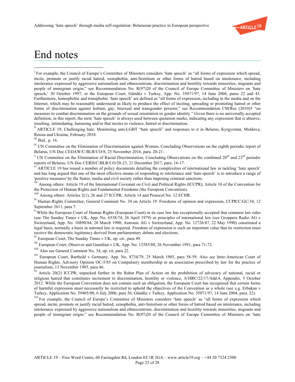

#### End notes

For example, the Council of Europe's Committee of Ministers considers 'hate speech' as "all forms of expression which spread, incite, promote or justify racial hatred, xenophobia, anti-Semitism or other forms of hatred based on intolerance, including intolerance expressed by aggressive nationalism and ethnocentrism, discrimination and hostility towards minorities, migrants and people of immigrant origin;" see Recommendation No. R(97)20 of the Council of Europe Committee of Ministers on 'hate speech,' 30 October 1997; or the European Court, Gündüz v Turkey, App. No. 35071/97, 14 June 2004, paras 22 and 43. Furthermore, homophobic and transphobic 'hate speech' are defined as "all forms of expression, including in the media and on the Internet, which may be reasonably understood as likely to produce the effect of inciting, spreading or promoting hatred or other forms of discrimination against lesbian, gay, bisexual and transgender persons;" see Recommendation CM/Rec (2010)5 "on measures to combat discrimination on the grounds of sexual orientation or gender identity." Given there is no universally accepted definition, in this report, the term 'hate speech' is always used between quotation marks, indicating any expression that is abusive, insulting, intimidating, harassing and/or that incites to violence, hatred or discrimination.

<sup>ii</sup> ARTICLE 19, Challenging hate: Monitoring anti-LGBT "hate speech" and responses to it in Belarus, Kyrgyzstan, Moldova, Russia and Ukraine, February 2018.

iii Ibid., p. 16.

iv UN Committee on the Elimination of Discrimination against Women, Concluding Observations on the eighth periodic report of Belarus, UN Doc CEDAW/C/BLR/CO/8, 25 November 2016, para. 20-21.<br><sup>V</sup> UN Committee on the Elimination of Racial Discrimination, Concluding Observations on the combined 20<sup>th</sup> and 23<sup>rd</sup> periodic

reports of Belarus, UN Doc CERD/C/BLR/CO/20-23, 21 December 2017, para. 16-17.

vi ARTICLE 19 has issued a number of policy documents detailing the complexities of international law in tackling 'hate speech' and has long argued that one of the most effective means of responding to intolerance and 'hate speech' is to introduce a range of 'positive measures' by the States, media and civil society rather than imposing criminal sanctions.

vii Among others: Article 19 of the International Covenant on Civil and Political Rights (ICCPR); Article 10 of the Convention for the Protection of Human Rights and Fundamental Freedoms (the European Convention).

viii Among others: Articles 2(1), 26 and 27 ICCPR; Article 14 and Protocol No. 12 ECHR.

<sup>ix</sup> Human Rights Committee, General Comment No. 34 on Article 19: Freedoms of opinion and expression, CCPR/C/GC/34, 12 September 2011, para 7.<br><sup>x</sup> While the European Court of Human Rights (European Court) in its case law has exceptionally accepted that common law rules

(see The Sunday Times v UK, App. No. 6538/74, 26 April 1979) or principles of international law (see Groppera Radio AG v Switzerland, App. No. 10890/84, 28 March 1990; Autronic AG v Switzerland, App. No. 12726/87, 22 May 1990) constituted a legal basis, normally a basis in national law is required. Freedom of expression is such an important value that its restriction must receive the democratic legitimacy derived from parliamentary debate and elections.

<sup>x1</sup> European Court, The Sunday Times v UK, op. cit., para 49.

xii European Court, Observer and Guardian v UK, App. No. 13585/88, 26 November 1991, para 71-72.

xiii Also see General Comment No. 34, op. cit, para 22.

xiv European Court, Barthold v Germany, App. No. 8734/79, 25 March 1985, para 58-59. Also see Inter-American Court of Human Rights, Advisory Opinion OC-5/85 on Compulsory membership in an association prescribed by law for the practice of journalism, 13 November 1985, para 46.

<sup>xv</sup> Article 20(2) ICCPR; unpacked further in the Rabat Plan of Action on the prohibition of advocacy of national, racial or religious hatred that constitutes incitement to discrimination, hostility or violence, A/HRC/22/17/Add.4, Appendix, 5 October 2012. While the European Convention does not contain such an obligation, the European Court has recognised that certain forms of harmful expression must necessarily be restricted to uphold the objectives of the Convention as a whole (see e.g. Erbakan v Turkey, Application No. 59405/00, 6 July 2006, para 56; Gündüz v Turkey, Application No. 35071/97, 14 June 2004, para. 22).

<sup>xvi</sup> For example, the Council of Europe's Committee of Ministers considers 'hate speech' as "all forms of expression which spread, incite, promote or justify racial hatred, xenophobia, anti-Semitism or other forms of hatred based on intolerance, including intolerance expressed by aggressive nationalism and ethnocentrism, discrimination and hostility towards minorities, migrants and people of immigrant origin;" see Recommendation No. R(97)20 of the Council of Europe Committee of Ministers on 'hate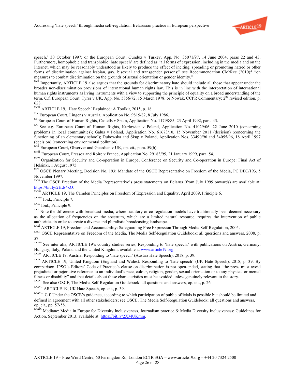

speech,' 30 October 1997; or the European Court, Gündüz v Turkey, App. No. 35071/97, 14 June 2004, paras 22 and 43. Furthermore, homophobic and transphobic 'hate speech' are defined as "all forms of expression, including in the media and on the Internet, which may be reasonably understood as likely to produce the effect of inciting, spreading or promoting hatred or other forms of discrimination against lesbian, gay, bisexual and transgender persons;" see Recommendation CM/Rec (2010)5 "on measures to combat discrimination on the grounds of sexual orientation or gender identity."

xvii Importantly, ARTICLE 19 also argues that the grounds for discriminatory hate should include all those that appear under the broader non-discrimination provisions of international human rights law. This is in line with the interpretation of international human rights instruments as living instruments with a view to supporting the principle of equality on a broad understanding of the term. C.f. European Court, Tyrer v UK, App. No. 5856/72, 15 March 1978; or Nowak, CCPR Commentary: 2<sup>nd</sup> revised edition, p. 628.

xviii ARTICLE 19, 'Hate Speech' Explained: A Toolkit, 2015, p. 18.

xix European Court, Lingens v Austria, Application No. 9815/82, 8 July 1986.

xx European Court of Human Rights, Castells v Spain, Application No. 11798/85, 23 April 1992, para. 43.

xxi See e.g. European Court of Human Rights, Kurlowicz v Poland, Application No. 41029/06, 22 June 2010 (concerning problems in local communities); Galus v Poland, Application No. 61673/10, 15 November 2011 (decision) (concerning the functioning of an elementary school); Dubowska and Skup v Poland, Application Nos. 33490/96 and 34055/96, 18 April 1997 (decision) (concerning environmental pollution).

xxii European Court, Observer and Guardian v UK, op. cit., para. 59(b).

xxiii European Court, Fressoz and Roire v France, Application No. 29183/95, 21 January 1999, para. 54.

xxiv Organization for Security and Co-operation in Europe, Conference on Security and Co-operation in Europe: Final Act of Helsinki, 1 August 1975.<br><sup>xxv</sup> OSCE Plenary Meeting, Decision No. 193: Mandate of the OSCE Representative on Freedom of the Media, PC.DEC/193, 5

November 1997.

xxvi The OSCE Freedom of the Media Representative's press statements on Belarus (from July 1999 onwards) are available at: https://bit.ly/2Hds4xO.<br><sup>xxvii</sup> ARTICLE 19, The Camden Principles on Freedom of Expression and Equality, April 2009, Principle 6.

xxviii Ibid., Principle 7.

xxix Ibid., Principle 9.

xxx Note the difference with broadcast media, where statutory or co-regulation models have traditionally been deemed necessary as the allocation of frequencies on the spectrum, which are a limited natural resource, requires the intervention of public authorities in order to create a diverse and pluralistic broadcasting landscape.

xxxi ARTICLE 19, Freedom and Accountability: Safeguarding Free Expression Through Media Self-Regulation, 2005.

xxxii OSCE Representative on Freedom of the Media, The Media Self-Regulation Guidebook: all questions and answers, 2008, p. 57.

xxxiii See inter alia, ARTICLE 19's country studies series, Responding to 'hate speech,' with publications on Austria, Germany, Hungary, Italy, Poland and the United Kingdom; available at www.article19.org.

XXXIV ARTICLE 19, Austria: Responding to 'hate speech' (Austria Hate Speech), 2018, p. 39.

xxxv ARTICLE 19, United Kingdom (England and Wales): Responding to 'hate speech' (UK Hate Speech), 2018, p. 39. By comparison, IPSO's Editors' Code of Practice's clause on discrimination is not open-ended, stating that "the press must avoid prejudicial or pejorative reference to an individual's race, colour, religion, gender, sexual orientation or to any physical or mental illness or disability" and that details about these characteristics must be avoided unless genuinely relevant to the story.

xxxvi See also OSCE, The Media Self-Regulation Guidebook: all questions and answers, op. cit., p. 26

xxxvii ARTICLE 19, UK Hate Speech, op. cit., p. 39.

xxxviii C.f. Under the OSCE's guidance, according to which participation of public officials is possible but should be limited and defined in agreement with all other stakeholders; see OSCE, The Media Self-Regulation Guidebook: all questions and answers, op. cit., pp. 57-58.<br><sup>xxxix</sup> Mediane: Media in Europe for Diversity Inclusiveness, Journalism practice & Media Diversity Inclusiveness: Guidelines for

Action, September 2013, available at: https://bit.ly/2XMUKmm.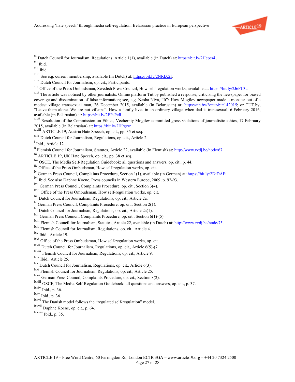

xl Dutch Council for Journalism, Regulations, Article 1(1), available (in Dutch) at: https://bit.ly/2Hcpc4i .

xliii See e.g. current membership, available (in Dutch) at: https://bit.ly/2NRlX2I.

<sup>xlv</sup> Office of the Press Ombudsman, Swedish Press Council, How self-regulation works, available at: https://bit.ly/2J6FL3t.

available (in Belarusian) at: *https://bit.ly/2EPsPcR.*<br><sup>xlvii</sup> Resolution of the Commission on Ethics, Vecherniy Mogilev committed gross violations of journalistic ethics, 17 February<br>2015, available (in Belarusian) at: h

- 2016, available (in Belarusian) at: **https://bit.ly/2H9garet.com/**<br>ARTICLE 19, Austria Hate Speech, op. cit., pp. 35 et seq.
- xlix Dutch Council for Journalism, Regulations, op. cit., Article 2.

- lii ARTICLE 19, UK Hate Speech, op. cit., pp. 38 et seq.
- liii OSCE, The Media Self-Regulation Guidebook: all questions and answers, op. cit., p. 44.
- liv Office of the Press Ombudsman, How self-regulation works, op. cit.
- lv German Press Council, Complaints Procedure, Section 1(1), available (in German) at: https://bit.ly/2DtDAEi.
- lvi Ibid. See also Daphne Koene, Press councils in Western Europe, 2009, p. 92-93.
- lvii German Press Council, Complaints Procedure, op. cit., Section 3(4).
- <sup>lviii</sup> Office of the Press Ombudsman, How self-regulation works, op. cit.<br><sup>lix</sup> Dutch Council for Journalism, Regulations, op. cit., Article 2a.
- 
- <sup>lx</sup> German Press Council, Complaints Procedure, op. cit., Section 2(1). <sup>lxi</sup> Dutch Council for Journalism, Regulations, op. cit., Article 2a(1).
- 
- lxii German Press Council, Complaints Procedure, op. cit., Section 6(1)-(5).
- lxiii Flemish Council for Journalism, Statutes, Article 22, available (in Dutch) at: http://www.rvdj.be/node/75.
- lxiv Flemish Council for Journalism, Regulations, op. cit., Article 4.

lxv Ibid., Article 19.

lxvi Office of the Press Ombudsman, How self-regulation works, op. cit.

lxvii Dutch Council for Journalism, Regulations, op. cit., Article 6(5)-(7.

lxviii Flemish Council for Journalism, Regulations, op. cit., Article 9.

lxix Ibid., Article 25.

- lxx Dutch Council for Journalism, Regulations, op. cit., Article 6(3).
- lxxi Flemish Council for Journalism, Regulations, op. cit., Article 25.
- lxxii German Press Council, Complaints Procedure, op. cit., Section 8(2).
- lxxiii OSCE, The Media Self-Regulation Guidebook: all questions and answers, op. cit., p. 37.
- lxxiv Ibid., p. 36.

lxxvii Daphne Koene, op. cit., p. 64.

xli Ibid.

xlii Ibid.

xliv Dutch Council for Journalism, op. cit., Participants.

<sup>&</sup>lt;sup>xlvi</sup> The article was noticed by other journalists. Online platform Tut.by published a response, criticising the newspaper for biased coverage and dissemination of false information; see, e.g. Nasha Niva, "It": How Mogilev newspaper made a monster out of a modest village transsexual man, 26 December 2015, available (in Belarusian) at: https://nn.by/?c=ar&i=142015; or TUT.by, "Leave them alone. We are not villains". How a family lives in an ordinary village when dad is transsexual, 6 February 2016,

<sup>&</sup>lt;sup>1</sup> Ibid., Article 12.

li Flemish Council for Journalism, Statutes, Article 22, available (in Flemish) at: http://www.rvdj.be/node/67.

lxxv Ibid., p. 36.

lxxvi The Danish model follows the "regulated self-regulation" model.

lxxviii Ibid., p. 35.